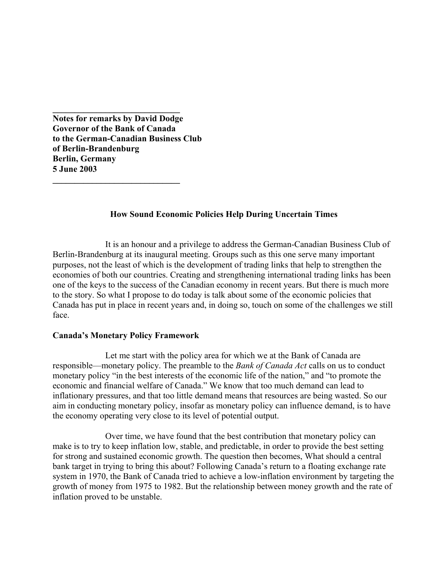**Notes for remarks by David Dodge Governor of the Bank of Canada to the German-Canadian Business Club of Berlin-Brandenburg Berlin, Germany 5 June 2003** 

**\_\_\_\_\_\_\_\_\_\_\_\_\_\_\_\_\_\_\_\_\_\_\_\_\_\_\_\_\_** 

**\_\_\_\_\_\_\_\_\_\_\_\_\_\_\_\_\_\_\_\_\_\_\_\_\_\_\_\_\_** 

## **How Sound Economic Policies Help During Uncertain Times**

It is an honour and a privilege to address the German-Canadian Business Club of Berlin-Brandenburg at its inaugural meeting. Groups such as this one serve many important purposes, not the least of which is the development of trading links that help to strengthen the economies of both our countries. Creating and strengthening international trading links has been one of the keys to the success of the Canadian economy in recent years. But there is much more to the story. So what I propose to do today is talk about some of the economic policies that Canada has put in place in recent years and, in doing so, touch on some of the challenges we still face.

## **Canada's Monetary Policy Framework**

 Let me start with the policy area for which we at the Bank of Canada are responsible—monetary policy. The preamble to the *Bank of Canada Act* calls on us to conduct monetary policy "in the best interests of the economic life of the nation," and "to promote the economic and financial welfare of Canada." We know that too much demand can lead to inflationary pressures, and that too little demand means that resources are being wasted. So our aim in conducting monetary policy, insofar as monetary policy can influence demand, is to have the economy operating very close to its level of potential output.

 Over time, we have found that the best contribution that monetary policy can make is to try to keep inflation low, stable, and predictable, in order to provide the best setting for strong and sustained economic growth. The question then becomes, What should a central bank target in trying to bring this about? Following Canada's return to a floating exchange rate system in 1970, the Bank of Canada tried to achieve a low-inflation environment by targeting the growth of money from 1975 to 1982. But the relationship between money growth and the rate of inflation proved to be unstable.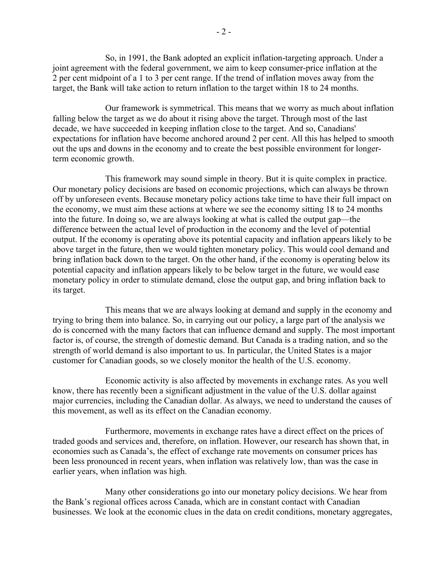So, in 1991, the Bank adopted an explicit inflation-targeting approach. Under a joint agreement with the federal government, we aim to keep consumer-price inflation at the 2 per cent midpoint of a 1 to 3 per cent range. If the trend of inflation moves away from the target, the Bank will take action to return inflation to the target within 18 to 24 months.

Our framework is symmetrical. This means that we worry as much about inflation falling below the target as we do about it rising above the target. Through most of the last decade, we have succeeded in keeping inflation close to the target. And so, Canadians' expectations for inflation have become anchored around 2 per cent. All this has helped to smooth out the ups and downs in the economy and to create the best possible environment for longerterm economic growth.

 This framework may sound simple in theory. But it is quite complex in practice. Our monetary policy decisions are based on economic projections, which can always be thrown off by unforeseen events. Because monetary policy actions take time to have their full impact on the economy, we must aim these actions at where we see the economy sitting 18 to 24 months into the future. In doing so, we are always looking at what is called the output gap—the difference between the actual level of production in the economy and the level of potential output. If the economy is operating above its potential capacity and inflation appears likely to be above target in the future, then we would tighten monetary policy. This would cool demand and bring inflation back down to the target. On the other hand, if the economy is operating below its potential capacity and inflation appears likely to be below target in the future, we would ease monetary policy in order to stimulate demand, close the output gap, and bring inflation back to its target.

This means that we are always looking at demand and supply in the economy and trying to bring them into balance. So, in carrying out our policy, a large part of the analysis we do is concerned with the many factors that can influence demand and supply. The most important factor is, of course, the strength of domestic demand. But Canada is a trading nation, and so the strength of world demand is also important to us. In particular, the United States is a major customer for Canadian goods, so we closely monitor the health of the U.S. economy.

Economic activity is also affected by movements in exchange rates. As you well know, there has recently been a significant adjustment in the value of the U.S. dollar against major currencies, including the Canadian dollar. As always, we need to understand the causes of this movement, as well as its effect on the Canadian economy.

Furthermore, movements in exchange rates have a direct effect on the prices of traded goods and services and, therefore, on inflation. However, our research has shown that, in economies such as Canada's, the effect of exchange rate movements on consumer prices has been less pronounced in recent years, when inflation was relatively low, than was the case in earlier years, when inflation was high.

Many other considerations go into our monetary policy decisions. We hear from the Bank's regional offices across Canada, which are in constant contact with Canadian businesses. We look at the economic clues in the data on credit conditions, monetary aggregates,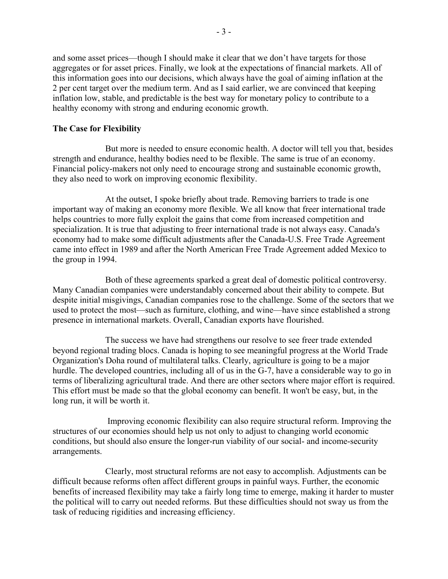and some asset prices—though I should make it clear that we don't have targets for those aggregates or for asset prices. Finally, we look at the expectations of financial markets. All of this information goes into our decisions, which always have the goal of aiming inflation at the 2 per cent target over the medium term. And as I said earlier, we are convinced that keeping inflation low, stable, and predictable is the best way for monetary policy to contribute to a healthy economy with strong and enduring economic growth.

## **The Case for Flexibility**

 But more is needed to ensure economic health. A doctor will tell you that, besides strength and endurance, healthy bodies need to be flexible. The same is true of an economy. Financial policy-makers not only need to encourage strong and sustainable economic growth, they also need to work on improving economic flexibility.

 At the outset, I spoke briefly about trade. Removing barriers to trade is one important way of making an economy more flexible. We all know that freer international trade helps countries to more fully exploit the gains that come from increased competition and specialization. It is true that adjusting to freer international trade is not always easy. Canada's economy had to make some difficult adjustments after the Canada-U.S. Free Trade Agreement came into effect in 1989 and after the North American Free Trade Agreement added Mexico to the group in 1994.

Both of these agreements sparked a great deal of domestic political controversy. Many Canadian companies were understandably concerned about their ability to compete. But despite initial misgivings, Canadian companies rose to the challenge. Some of the sectors that we used to protect the most—such as furniture, clothing, and wine—have since established a strong presence in international markets. Overall, Canadian exports have flourished.

The success we have had strengthens our resolve to see freer trade extended beyond regional trading blocs. Canada is hoping to see meaningful progress at the World Trade Organization's Doha round of multilateral talks. Clearly, agriculture is going to be a major hurdle. The developed countries, including all of us in the G-7, have a considerable way to go in terms of liberalizing agricultural trade. And there are other sectors where major effort is required. This effort must be made so that the global economy can benefit. It won't be easy, but, in the long run, it will be worth it.

 Improving economic flexibility can also require structural reform. Improving the structures of our economies should help us not only to adjust to changing world economic conditions, but should also ensure the longer-run viability of our social- and income-security arrangements.

Clearly, most structural reforms are not easy to accomplish. Adjustments can be difficult because reforms often affect different groups in painful ways. Further, the economic benefits of increased flexibility may take a fairly long time to emerge, making it harder to muster the political will to carry out needed reforms. But these difficulties should not sway us from the task of reducing rigidities and increasing efficiency.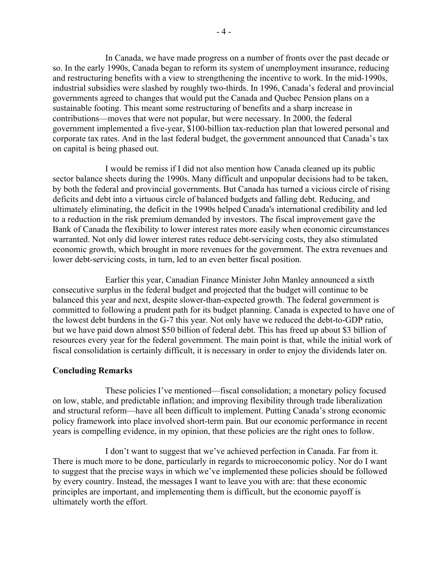In Canada, we have made progress on a number of fronts over the past decade or so. In the early 1990s, Canada began to reform its system of unemployment insurance, reducing and restructuring benefits with a view to strengthening the incentive to work. In the mid-1990s, industrial subsidies were slashed by roughly two-thirds. In 1996, Canada's federal and provincial governments agreed to changes that would put the Canada and Quebec Pension plans on a sustainable footing. This meant some restructuring of benefits and a sharp increase in contributions—moves that were not popular, but were necessary. In 2000, the federal government implemented a five-year, \$100-billion tax-reduction plan that lowered personal and corporate tax rates. And in the last federal budget, the government announced that Canada's tax on capital is being phased out.

I would be remiss if I did not also mention how Canada cleaned up its public sector balance sheets during the 1990s. Many difficult and unpopular decisions had to be taken, by both the federal and provincial governments. But Canada has turned a vicious circle of rising deficits and debt into a virtuous circle of balanced budgets and falling debt. Reducing, and ultimately eliminating, the deficit in the 1990s helped Canada's international credibility and led to a reduction in the risk premium demanded by investors. The fiscal improvement gave the Bank of Canada the flexibility to lower interest rates more easily when economic circumstances warranted. Not only did lower interest rates reduce debt-servicing costs, they also stimulated economic growth, which brought in more revenues for the government. The extra revenues and lower debt-servicing costs, in turn, led to an even better fiscal position.

Earlier this year, Canadian Finance Minister John Manley announced a sixth consecutive surplus in the federal budget and projected that the budget will continue to be balanced this year and next, despite slower-than-expected growth. The federal government is committed to following a prudent path for its budget planning. Canada is expected to have one of the lowest debt burdens in the G-7 this year. Not only have we reduced the debt-to-GDP ratio, but we have paid down almost \$50 billion of federal debt. This has freed up about \$3 billion of resources every year for the federal government. The main point is that, while the initial work of fiscal consolidation is certainly difficult, it is necessary in order to enjoy the dividends later on.

## **Concluding Remarks**

 These policies I've mentioned—fiscal consolidation; a monetary policy focused on low, stable, and predictable inflation; and improving flexibility through trade liberalization and structural reform—have all been difficult to implement. Putting Canada's strong economic policy framework into place involved short-term pain. But our economic performance in recent years is compelling evidence, in my opinion, that these policies are the right ones to follow.

 I don't want to suggest that we've achieved perfection in Canada. Far from it. There is much more to be done, particularly in regards to microeconomic policy. Nor do I want to suggest that the precise ways in which we've implemented these policies should be followed by every country. Instead, the messages I want to leave you with are: that these economic principles are important, and implementing them is difficult, but the economic payoff is ultimately worth the effort.